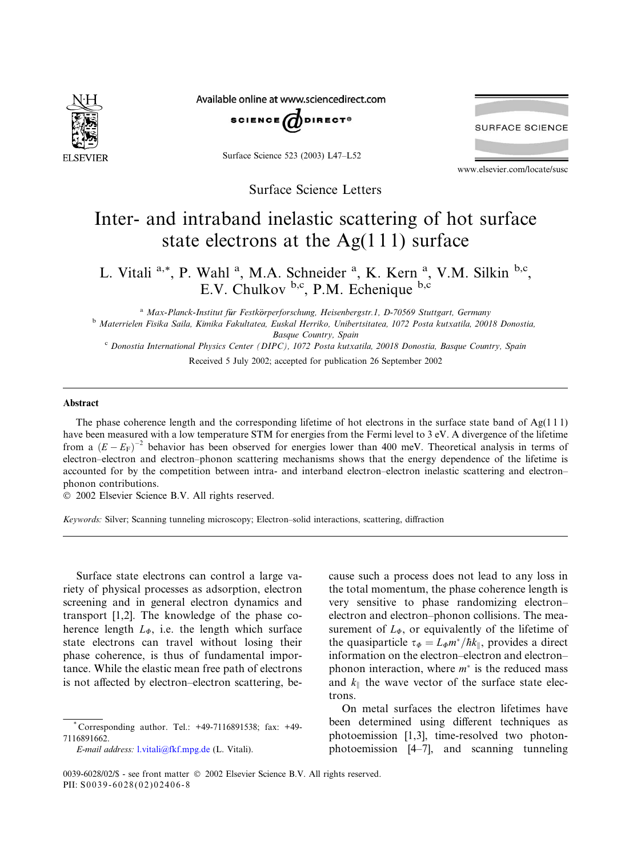

Available online at www.sciencedirect.com



Surface Science 523 (2003) L47–L52



www.elsevier.com/locate/susc

Surface Science Letters

## Inter- and intraband inelastic scattering of hot surface state electrons at the  $Ag(111)$  surface

L. Vitali <sup>a,\*</sup>, P. Wahl <sup>a</sup>, M.A. Schneider <sup>a</sup>, K. Kern <sup>a</sup>, V.M. Silkin <sup>b,c</sup>, E.V. Chulkov b,c, P.M. Echenique b,c

<sup>a</sup> Max-Planck-Institut für Festkörperforschung, Heisenbergstr.1, D-70569 Stuttgart, Germany <sup>b</sup> Materrielen Fisika Saila, Kimika Fakultatea, Euskal Herriko, Unibertsitatea, 1072 Posta kutxatila, 20018 Donostia, Basque Country, Spain

<sup>c</sup> Donostia International Physics Center (DIPC), 1072 Posta kutxatila, 20018 Donostia, Basque Country, Spain

Received 5 July 2002; accepted for publication 26 September 2002

## Abstract

The phase coherence length and the corresponding lifetime of hot electrons in the surface state band of  $Ag(111)$ have been measured with a low temperature STM for energies from the Fermi level to 3 eV. A divergence of the lifetime from a  $(E - E_F)^{-2}$  behavior has been observed for energies lower than 400 meV. Theoretical analysis in terms of electron–electron and electron–phonon scattering mechanisms shows that the energy dependence of the lifetime is accounted for by the competition between intra- and interband electron–electron inelastic scattering and electron– phonon contributions.

2002 Elsevier Science B.V. All rights reserved.

Keywords: Silver; Scanning tunneling microscopy; Electron–solid interactions, scattering, diffraction

Surface state electrons can control a large variety of physical processes as adsorption, electron screening and in general electron dynamics and transport [1,2]. The knowledge of the phase coherence length  $L_{\phi}$ , i.e. the length which surface state electrons can travel without losing their phase coherence, is thus of fundamental importance. While the elastic mean free path of electrons is not affected by electron–electron scattering, be-

E-mail address: [l.vitali@fkf.mpg.de](mail to: l.vitali@fkf.mpg.de) (L. Vitali).

cause such a process does not lead to any loss in the total momentum, the phase coherence length is very sensitive to phase randomizing electron– electron and electron–phonon collisions. The measurement of  $L_{\varphi}$ , or equivalently of the lifetime of the quasiparticle  $\tau_{\Phi} = L_{\Phi} m^* / \hbar k_{\parallel}$ , provides a direct information on the electron–electron and electron– phonon interaction, where  $m^*$  is the reduced mass and  $k_{\parallel}$  the wave vector of the surface state electrons.

On metal surfaces the electron lifetimes have been determined using different techniques as photoemission [1,3], time-resolved two photonphotoemission [4–7], and scanning tunneling

Corresponding author. Tel.: +49-7116891538; fax: +49-7116891662.

<sup>0039-6028/02/\$ -</sup> see front matter  $\odot$  2002 Elsevier Science B.V. All rights reserved. PII: S0039-6028(02)02406-8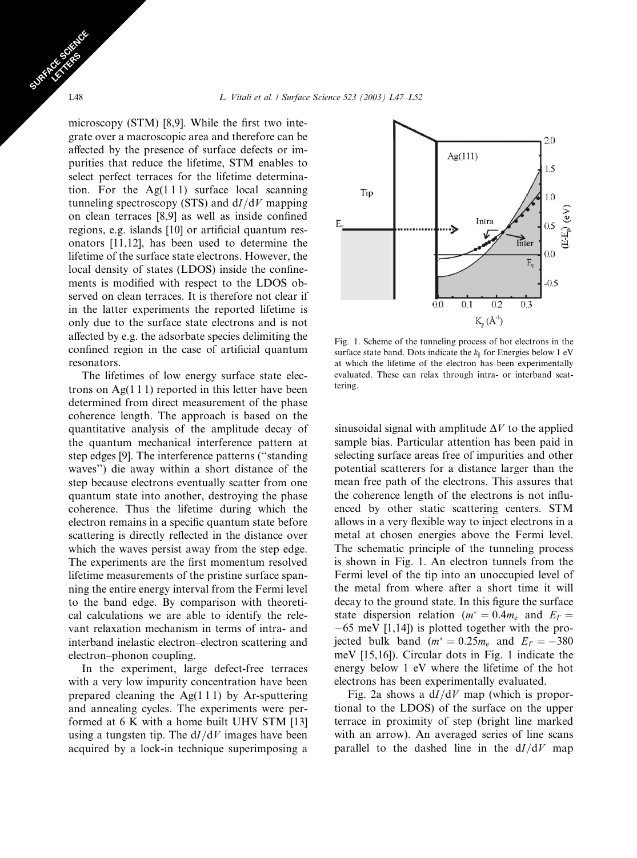microscopy (STM) [8,9]. While the first two integrate over a macroscopic area and therefore can be affected by the presence of surface defects or impurities that reduce the lifetime, STM enables to select perfect terraces for the lifetime determination. For the  $Ag(111)$  surface local scanning tunneling spectroscopy (STS) and  $dI/dV$  mapping on clean terraces [8,9] as well as inside confined regions, e.g. islands [10] or artificial quantum resonators [11,12], has been used to determine the lifetime of the surface state electrons. However, the local density of states (LDOS) inside the confinements is modified with respect to the LDOS observed on clean terraces. It is therefore not clear if in the latter experiments the reported lifetime is only due to the surface state electrons and is not affected by e.g. the adsorbate species delimiting the confined region in the case of artificial quantum resonators.

The lifetimes of low energy surface state electrons on  $Ag(1\ 1\ 1)$  reported in this letter have been determined from direct measurement of the phase coherence length. The approach is based on the quantitative analysis of the amplitude decay of the quantum mechanical interference pattern at step edges [9]. The interference patterns (''standing waves'') die away within a short distance of the step because electrons eventually scatter from one quantum state into another, destroying the phase coherence. Thus the lifetime during which the electron remains in a specific quantum state before scattering is directly reflected in the distance over which the waves persist away from the step edge. The experiments are the first momentum resolved lifetime measurements of the pristine surface spanning the entire energy interval from the Fermi level to the band edge. By comparison with theoretical calculations we are able to identify the relevant relaxation mechanism in terms of intra- and interband inelastic electron–electron scattering and electron–phonon coupling.

In the experiment, large defect-free terraces with a very low impurity concentration have been prepared cleaning the  $Ag(111)$  by Ar-sputtering and annealing cycles. The experiments were performed at 6 K with a home built UHV STM [13] using a tungsten tip. The  $dI/dV$  images have been acquired by a lock-in technique superimposing a



Fig. 1. Scheme of the tunneling process of hot electrons in the surface state band. Dots indicate the  $k_{\parallel}$  for Energies below 1 eV at which the lifetime of the electron has been experimentally evaluated. These can relax through intra- or interband scattering.

sinusoidal signal with amplitude  $\Delta V$  to the applied sample bias. Particular attention has been paid in selecting surface areas free of impurities and other potential scatterers for a distance larger than the mean free path of the electrons. This assures that the coherence length of the electrons is not influenced by other static scattering centers. STM allows in a very flexible way to inject electrons in a metal at chosen energies above the Fermi level. The schematic principle of the tunneling process is shown in Fig. 1. An electron tunnels from the Fermi level of the tip into an unoccupied level of the metal from where after a short time it will decay to the ground state. In this figure the surface state dispersion relation ( $m^* = 0.4m_e$  and  $E_T =$ -65 meV [1,14]) is plotted together with the projected bulk band ( $m^* = 0.25m_e$  and  $E_T = -380$ meV [15,16]). Circular dots in Fig. 1 indicate the energy below 1 eV where the lifetime of the hot electrons has been experimentally evaluated.

Fig. 2a shows a  $dI/dV$  map (which is proportional to the LDOS) of the surface on the upper terrace in proximity of step (bright line marked with an arrow). An averaged series of line scans parallel to the dashed line in the  $dI/dV$  map

SURFACE SCIENCE CE STRES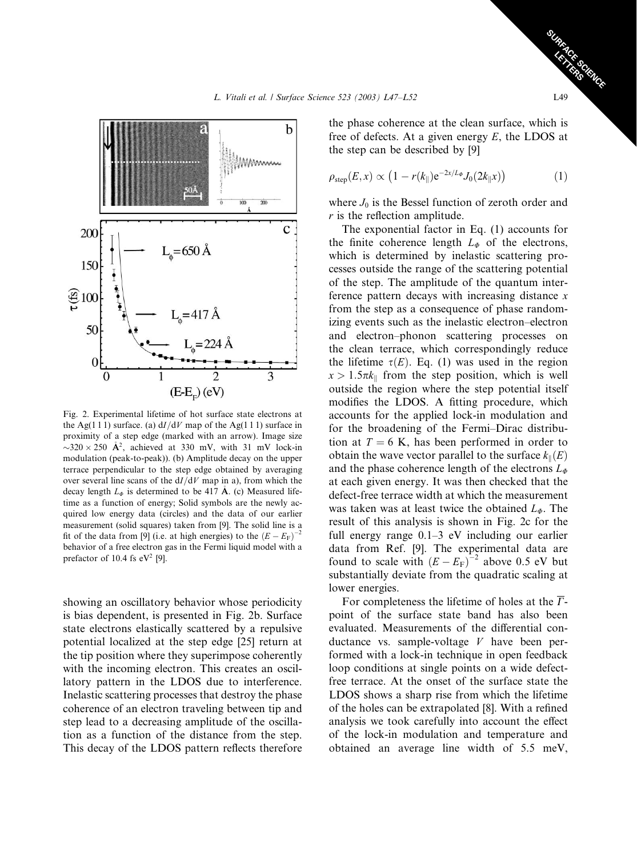

Fig. 2. Experimental lifetime of hot surface state electrons at the Ag(1 1 1) surface. (a)  $dI/dV$  map of the Ag(1 1 1) surface in proximity of a step edge (marked with an arrow). Image size  $\sim$ 320  $\times$  250 Å<sup>2</sup>, achieved at 330 mV, with 31 mV lock-in modulation (peak-to-peak)). (b) Amplitude decay on the upper terrace perpendicular to the step edge obtained by averaging over several line scans of the  $dI/dV$  map in a), from which the decay length  $L_{\phi}$  is determined to be 417 Å. (c) Measured lifetime as a function of energy; Solid symbols are the newly acquired low energy data (circles) and the data of our earlier measurement (solid squares) taken from [9]. The solid line is a fit of the data from [9] (i.e. at high energies) to the  $(E - E_F)^{-2}$ behavior of a free electron gas in the Fermi liquid model with a prefactor of 10.4 fs  $eV^2$  [9].

showing an oscillatory behavior whose periodicity is bias dependent, is presented in Fig. 2b. Surface state electrons elastically scattered by a repulsive potential localized at the step edge [25] return at the tip position where they superimpose coherently with the incoming electron. This creates an oscillatory pattern in the LDOS due to interference. Inelastic scattering processes that destroy the phase coherence of an electron traveling between tip and step lead to a decreasing amplitude of the oscillation as a function of the distance from the step. This decay of the LDOS pattern reflects therefore the phase coherence at the clean surface, which is free of defects. At a given energy  $E$ , the LDOS at the step can be described by [9]

$$
\rho_{\text{step}}(E,x) \propto \left(1 - r(k_{\parallel})e^{-2x/L_{\phi}}J_0(2k_{\parallel}x)\right) \tag{1}
$$

where  $J_0$  is the Bessel function of zeroth order and  $r$  is the reflection amplitude.

The exponential factor in Eq. (1) accounts for the finite coherence length  $L_{\Phi}$  of the electrons, which is determined by inelastic scattering processes outside the range of the scattering potential of the step. The amplitude of the quantum interference pattern decays with increasing distance  $x$ from the step as a consequence of phase randomizing events such as the inelastic electron–electron and electron–phonon scattering processes on the clean terrace, which correspondingly reduce the lifetime  $\tau(E)$ . Eq. (1) was used in the region  $x > 1.5\pi k_{\parallel}$  from the step position, which is well outside the region where the step potential itself modifies the LDOS. A fitting procedure, which accounts for the applied lock-in modulation and for the broadening of the Fermi–Dirac distribution at  $T = 6$  K, has been performed in order to obtain the wave vector parallel to the surface  $k_{\parallel}(E)$ and the phase coherence length of the electrons  $L_{\Phi}$ at each given energy. It was then checked that the defect-free terrace width at which the measurement was taken was at least twice the obtained  $L_{\Phi}$ . The result of this analysis is shown in Fig. 2c for the full energy range 0.1–3 eV including our earlier data from Ref. [9]. The experimental data are found to scale with  $(E - E_F)^{-2}$  above 0.5 eV but substantially deviate from the quadratic scaling at lower energies.

For completeness the lifetime of holes at the  $\overline{\Gamma}$ point of the surface state band has also been evaluated. Measurements of the differential conductance vs. sample-voltage  $V$  have been performed with a lock-in technique in open feedback loop conditions at single points on a wide defectfree terrace. At the onset of the surface state the LDOS shows a sharp rise from which the lifetime of the holes can be extrapolated [8]. With a refined analysis we took carefully into account the effect of the lock-in modulation and temperature and obtained an average line width of 5.5 meV,

SURFACE SCIENCE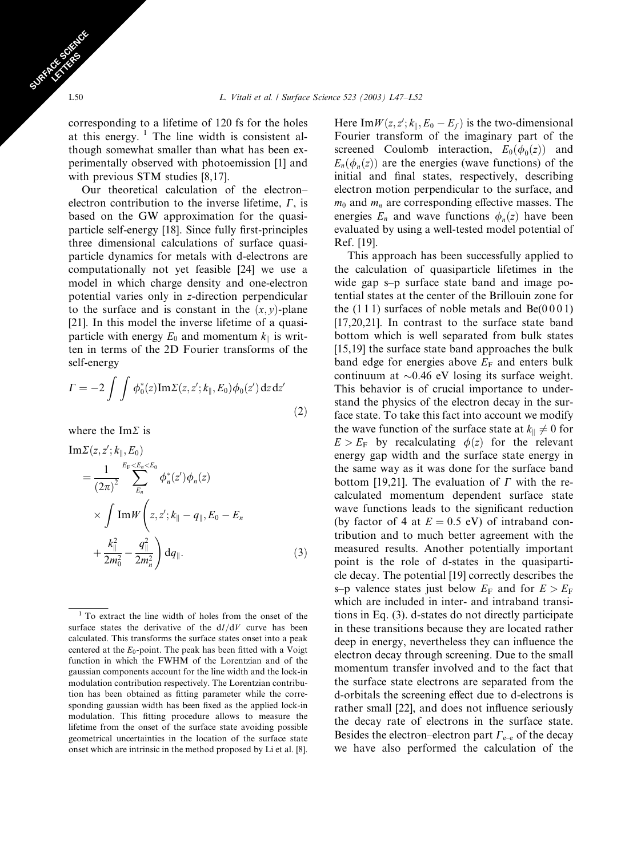corresponding to a lifetime of 120 fs for the holes at this energy.  $1$  The line width is consistent although somewhat smaller than what has been experimentally observed with photoemission [1] and with previous STM studies [8,17].

Our theoretical calculation of the electron– electron contribution to the inverse lifetime,  $\Gamma$ , is based on the GW approximation for the quasiparticle self-energy [18]. Since fully first-principles three dimensional calculations of surface quasiparticle dynamics for metals with d-electrons are computationally not yet feasible [24] we use a model in which charge density and one-electron potential varies only in z-direction perpendicular to the surface and is constant in the  $(x, y)$ -plane [21]. In this model the inverse lifetime of a quasiparticle with energy  $E_0$  and momentum  $k_{\parallel}$  is written in terms of the 2D Fourier transforms of the self-energy

$$
\Gamma = -2 \int \int \phi_0^*(z) \mathrm{Im} \Sigma(z, z'; k_{\parallel}, E_0) \phi_0(z') \, dz \, dz'
$$
\n(2)

where the Im $\Sigma$  is

Im 
$$
\Sigma(z, z'; k_{\parallel}, E_0)
$$
  
\n
$$
= \frac{1}{(2\pi)^2} \sum_{E_n}^{E_F < E_n < E_0} \phi_n^*(z') \phi_n(z)
$$
\n
$$
\times \int \text{Im } W\left(z, z'; k_{\parallel} - q_{\parallel}, E_0 - E_n + \frac{k_{\parallel}^2}{2m_0^2} - \frac{q_{\parallel}^2}{2m_n^2}\right) dq_{\parallel}.
$$
\n(3)

Here Im $W(z, z'; k_{\parallel}, E_0 - E_f)$  is the two-dimensional Fourier transform of the imaginary part of the screened Coulomb interaction,  $E_0(\phi_0(z))$  and  $E_n(\phi_n(z))$  are the energies (wave functions) of the initial and final states, respectively, describing electron motion perpendicular to the surface, and  $m_0$  and  $m_n$  are corresponding effective masses. The energies  $E_n$  and wave functions  $\phi_n(z)$  have been evaluated by using a well-tested model potential of Ref. [19].

This approach has been successfully applied to the calculation of quasiparticle lifetimes in the wide gap s–p surface state band and image potential states at the center of the Brillouin zone for the  $(1 1 1)$  surfaces of noble metals and Be $(0 0 0 1)$ [17,20,21]. In contrast to the surface state band bottom which is well separated from bulk states [15,19] the surface state band approaches the bulk band edge for energies above  $E_F$  and enters bulk continuum at  $\sim 0.46$  eV losing its surface weight. This behavior is of crucial importance to understand the physics of the electron decay in the surface state. To take this fact into account we modify the wave function of the surface state at  $k_{\parallel} \neq 0$  for  $E > E<sub>F</sub>$  by recalculating  $\phi(z)$  for the relevant energy gap width and the surface state energy in the same way as it was done for the surface band bottom [19,21]. The evaluation of  $\Gamma$  with the recalculated momentum dependent surface state wave functions leads to the significant reduction (by factor of 4 at  $E = 0.5$  eV) of intraband contribution and to much better agreement with the measured results. Another potentially important point is the role of d-states in the quasiparticle decay. The potential [19] correctly describes the s–p valence states just below  $E_F$  and for  $E > E_F$ which are included in inter- and intraband transitions in Eq. (3). d-states do not directly participate in these transitions because they are located rather deep in energy, nevertheless they can influence the electron decay through screening. Due to the small momentum transfer involved and to the fact that the surface state electrons are separated from the d-orbitals the screening effect due to d-electrons is rather small [22], and does not influence seriously the decay rate of electrons in the surface state. Besides the electron–electron part  $\Gamma_{e-e}$  of the decay we have also performed the calculation of the

SURFACE SCIENCE CE STRES

<sup>1</sup> To extract the line width of holes from the onset of the surface states the derivative of the  $dI/dV$  curve has been calculated. This transforms the surface states onset into a peak centered at the  $E_0$ -point. The peak has been fitted with a Voigt function in which the FWHM of the Lorentzian and of the gaussian components account for the line width and the lock-in modulation contribution respectively. The Lorentzian contribution has been obtained as fitting parameter while the corresponding gaussian width has been fixed as the applied lock-in modulation. This fitting procedure allows to measure the lifetime from the onset of the surface state avoiding possible geometrical uncertainties in the location of the surface state onset which are intrinsic in the method proposed by Li et al. [8].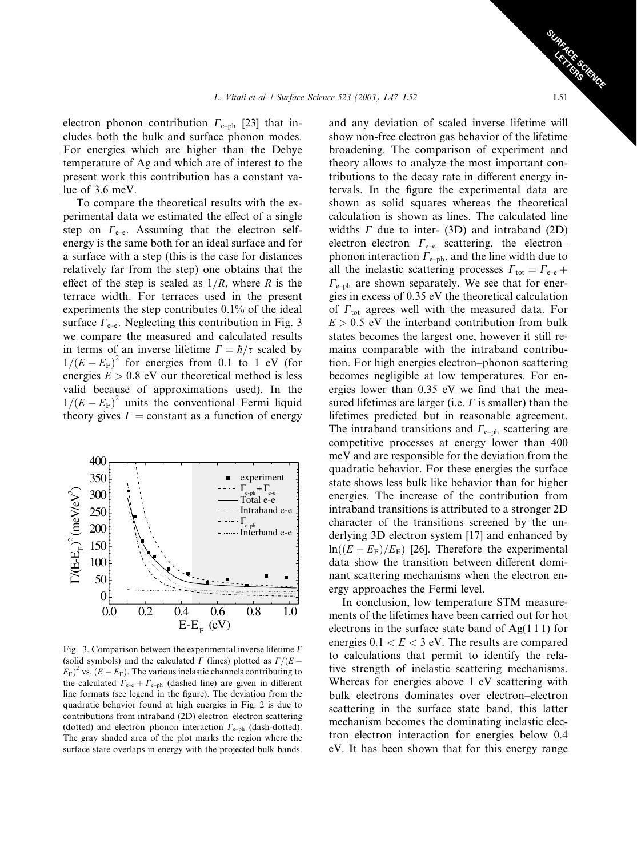electron–phonon contribution  $\Gamma_{\text{e-ph}}$  [23] that includes both the bulk and surface phonon modes. For energies which are higher than the Debye temperature of Ag and which are of interest to the present work this contribution has a constant value of 3.6 meV.

To compare the theoretical results with the experimental data we estimated the effect of a single step on  $\Gamma_{\text{e-e}}$ . Assuming that the electron selfenergy is the same both for an ideal surface and for a surface with a step (this is the case for distances relatively far from the step) one obtains that the effect of the step is scaled as  $1/R$ , where R is the terrace width. For terraces used in the present experiments the step contributes 0.1% of the ideal surface  $\Gamma_{\text{e-e}}$ . Neglecting this contribution in Fig. 3 we compare the measured and calculated results in terms of an inverse lifetime  $\Gamma = \hbar / \tau$  scaled by  $1/(E - E<sub>F</sub>)<sup>2</sup>$  for energies from 0.1 to 1 eV (for energies  $E > 0.8$  eV our theoretical method is less valid because of approximations used). In the  $1/(E - E<sub>F</sub>)<sup>2</sup>$  units the conventional Fermi liquid theory gives  $\Gamma$  = constant as a function of energy



Fig. 3. Comparison between the experimental inverse lifetime  $\Gamma$ (solid symbols) and the calculated  $\Gamma$  (lines) plotted as  $\Gamma/(E - \frac{E}{\sqrt{E}})$  $(E_{\rm F})^2$  vs.  $(E - E_{\rm F})$ . The various inelastic channels contributing to the calculated  $\Gamma_{e-e} + \Gamma_{e-ph}$  (dashed line) are given in different line formats (see legend in the figure). The deviation from the quadratic behavior found at high energies in Fig. 2 is due to contributions from intraband (2D) electron–electron scattering (dotted) and electron–phonon interaction  $\Gamma_{\text{e-ph}}$  (dash-dotted). The gray shaded area of the plot marks the region where the surface state overlaps in energy with the projected bulk bands.

and any deviation of scaled inverse lifetime will show non-free electron gas behavior of the lifetime broadening. The comparison of experiment and theory allows to analyze the most important contributions to the decay rate in different energy intervals. In the figure the experimental data are shown as solid squares whereas the theoretical calculation is shown as lines. The calculated line widths  $\Gamma$  due to inter- (3D) and intraband (2D) electron–electron  $\Gamma_{e-e}$  scattering, the electron– phonon interaction  $\Gamma_{e-ph}$ , and the line width due to all the inelastic scattering processes  $\Gamma_{\text{tot}} = \Gamma_{\text{e-e}} + \Gamma_{\text{e-e}}$  $\Gamma_{\text{e-ph}}$  are shown separately. We see that for energies in excess of 0.35 eV the theoretical calculation of  $\Gamma_{\text{tot}}$  agrees well with the measured data. For  $E > 0.5$  eV the interband contribution from bulk states becomes the largest one, however it still remains comparable with the intraband contribution. For high energies electron–phonon scattering becomes negligible at low temperatures. For energies lower than 0.35 eV we find that the measured lifetimes are larger (i.e.  $\Gamma$  is smaller) than the lifetimes predicted but in reasonable agreement. The intraband transitions and  $\Gamma_{\text{e-ph}}$  scattering are competitive processes at energy lower than 400 meV and are responsible for the deviation from the quadratic behavior. For these energies the surface state shows less bulk like behavior than for higher energies. The increase of the contribution from intraband transitions is attributed to a stronger 2D character of the transitions screened by the underlying 3D electron system [17] and enhanced by  $\ln((E - E_{\rm F})/E_{\rm F})$  [26]. Therefore the experimental data show the transition between different dominant scattering mechanisms when the electron energy approaches the Fermi level.

In conclusion, low temperature STM measurements of the lifetimes have been carried out for hot electrons in the surface state band of  $Ag(1\ 1\ 1)$  for energies  $0.1 < E < 3$  eV. The results are compared to calculations that permit to identify the relative strength of inelastic scattering mechanisms. Whereas for energies above 1 eV scattering with bulk electrons dominates over electron–electron scattering in the surface state band, this latter mechanism becomes the dominating inelastic electron–electron interaction for energies below 0.4 eV. It has been shown that for this energy range

SURFACE SCIENCE